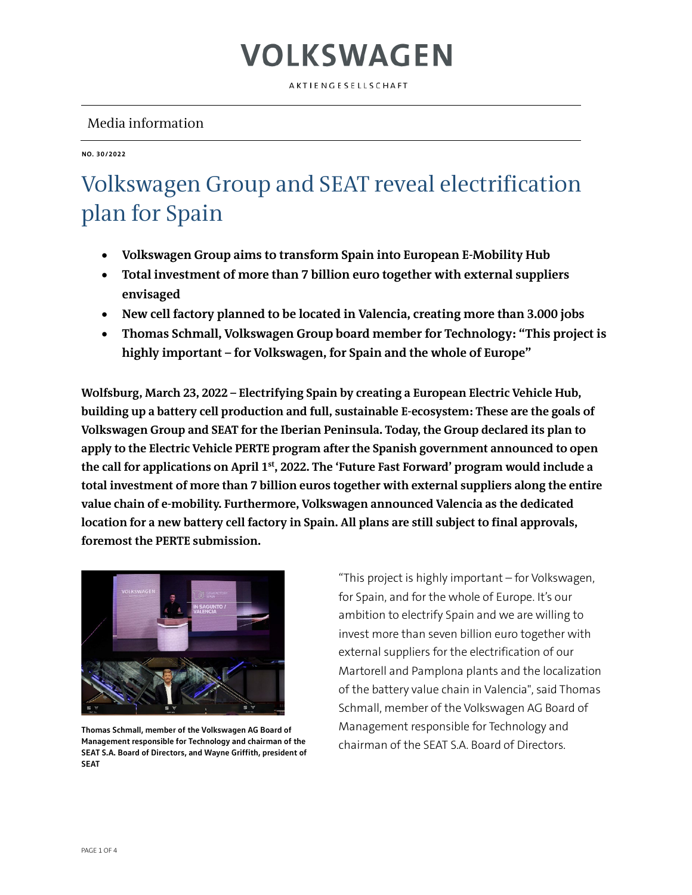AKTIENGESELLSCHAFT

### Media information

**NO. 30/2022**

### Volkswagen Group and SEAT reveal electrification plan for Spain

- **Volkswagen Group aims to transform Spain into European E-Mobility Hub**
- **Total investment of more than 7 billion euro together with external suppliers envisaged**
- **New cell factory planned to be located in Valencia, creating more than 3.000 jobs**
- **Thomas Schmall, Volkswagen Group board member for Technology: "This project is highly important – for Volkswagen, for Spain and the whole of Europe"**

**Wolfsburg, March 23, 2022 – Electrifying Spain by creating a European Electric Vehicle Hub, building up a battery cell production and full, sustainable E-ecosystem: These are the goals of Volkswagen Group and SEAT for the Iberian Peninsula. Today, the Group declared its plan to apply to the Electric Vehicle PERTE program after the Spanish government announced to open the call for applications on April 1st, 2022. The 'Future Fast Forward' program would include a total investment of more than 7 billion euros together with external suppliers along the entire value chain of e-mobility. Furthermore, Volkswagen announced Valencia as the dedicated location for a new battery cell factory in Spain. All plans are still subject to final approvals, foremost the PERTE submission.**



**Thomas Schmall, member of the Volkswagen AG Board of Management responsible for Technology and chairman of the SEAT S.A. Board of Directors, and Wayne Griffith, president of SEAT**

"This project is highly important – for Volkswagen, for Spain, and for the whole of Europe. It's our ambition to electrify Spain and we are willing to invest more than seven billion euro together with external suppliers for the electrification of our Martorell and Pamplona plants and the localization of the battery value chain in Valencia", said Thomas Schmall, member of the Volkswagen AG Board of Management responsible for Technology and chairman of the SEAT S.A. Board of Directors.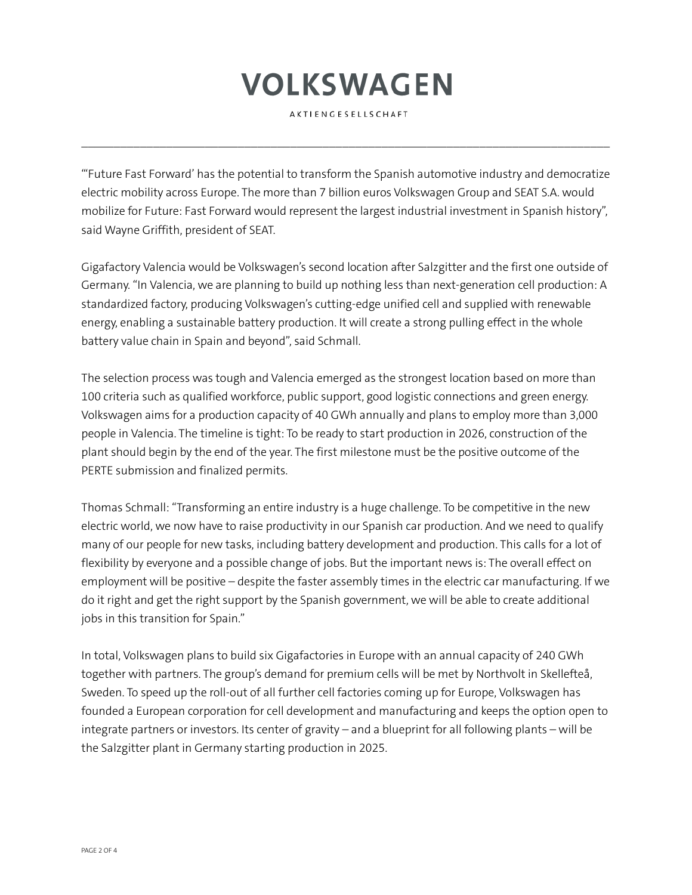AKTIENGESELLSCHAFT

 $\mathcal{L}_\mathcal{L} = \{ \mathcal{L}_\mathcal{L} = \{ \mathcal{L}_\mathcal{L} = \{ \mathcal{L}_\mathcal{L} = \{ \mathcal{L}_\mathcal{L} = \{ \mathcal{L}_\mathcal{L} = \{ \mathcal{L}_\mathcal{L} = \{ \mathcal{L}_\mathcal{L} = \{ \mathcal{L}_\mathcal{L} = \{ \mathcal{L}_\mathcal{L} = \{ \mathcal{L}_\mathcal{L} = \{ \mathcal{L}_\mathcal{L} = \{ \mathcal{L}_\mathcal{L} = \{ \mathcal{L}_\mathcal{L} = \{ \mathcal{L}_\mathcal{$ 

"'Future Fast Forward' has the potential to transform the Spanish automotive industry and democratize electric mobility across Europe. The more than 7 billion euros Volkswagen Group and SEAT S.A. would mobilize for Future: Fast Forward would represent the largest industrial investment in Spanish history", said Wayne Griffith, president of SEAT.

Gigafactory Valencia would be Volkswagen's second location after Salzgitter and the first one outside of Germany. "In Valencia, we are planning to build up nothing less than next-generation cell production: A standardized factory, producing Volkswagen's cutting-edge unified cell and supplied with renewable energy, enabling a sustainable battery production. It will create a strong pulling effect in the whole battery value chain in Spain and beyond", said Schmall.

The selection process was tough and Valencia emerged as the strongest location based on more than 100 criteria such as qualified workforce, public support, good logistic connections and green energy. Volkswagen aims for a production capacity of 40 GWh annually and plans to employ more than 3,000 people in Valencia. The timeline is tight: To be ready to start production in 2026, construction of the plant should begin by the end of the year. The first milestone must be the positive outcome of the PERTE submission and finalized permits.

Thomas Schmall: "Transforming an entire industry is a huge challenge. To be competitive in the new electric world, we now have to raise productivity in our Spanish car production. And we need to qualify many of our people for new tasks, including battery development and production. This calls for a lot of flexibility by everyone and a possible change of jobs. But the important news is: The overall effect on employment will be positive – despite the faster assembly times in the electric car manufacturing. If we do it right and get the right support by the Spanish government, we will be able to create additional jobs in this transition for Spain."

In total, Volkswagen plans to build six Gigafactories in Europe with an annual capacity of 240 GWh together with partners. The group's demand for premium cells will be met by Northvolt in Skellefteå, Sweden. To speed up the roll-out of all further cell factories coming up for Europe, Volkswagen has founded a European corporation for cell development and manufacturing and keeps the option open to integrate partners or investors. Its center of gravity – and a blueprint for all following plants – will be the Salzgitter plant in Germany starting production in 2025.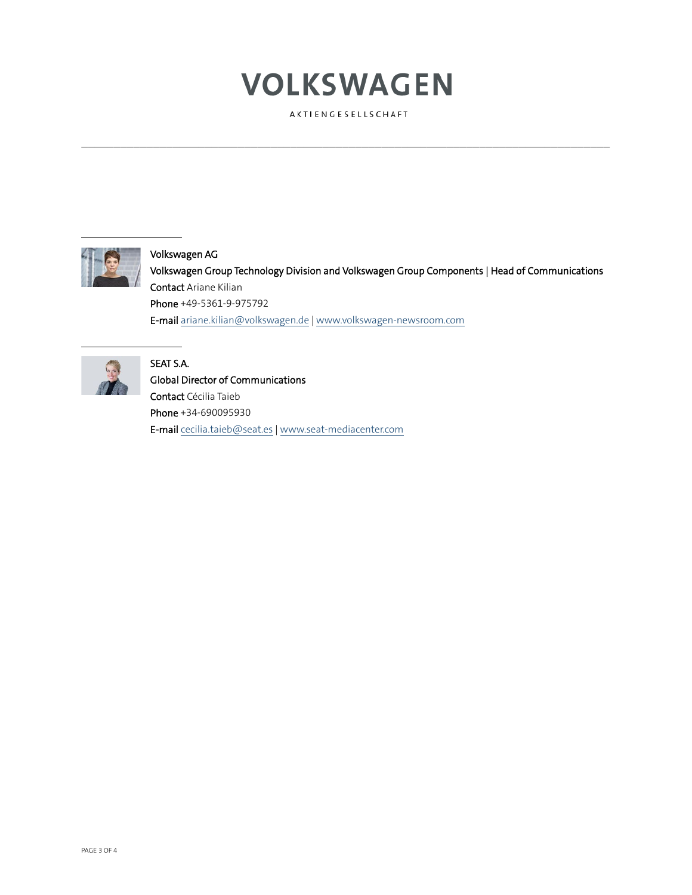AKTIENGESELLSCHAFT

 $\mathcal{L}_\mathcal{L} = \{ \mathcal{L}_\mathcal{L} = \{ \mathcal{L}_\mathcal{L} = \{ \mathcal{L}_\mathcal{L} = \{ \mathcal{L}_\mathcal{L} = \{ \mathcal{L}_\mathcal{L} = \{ \mathcal{L}_\mathcal{L} = \{ \mathcal{L}_\mathcal{L} = \{ \mathcal{L}_\mathcal{L} = \{ \mathcal{L}_\mathcal{L} = \{ \mathcal{L}_\mathcal{L} = \{ \mathcal{L}_\mathcal{L} = \{ \mathcal{L}_\mathcal{L} = \{ \mathcal{L}_\mathcal{L} = \{ \mathcal{L}_\mathcal{$ 



### Volkswagen AG

Volkswagen Group Technology Division and Volkswagen Group Components | Head of Communications Contact Ariane Kilian Phone +49-5361-9-975792 E-mai[l ariane.kilian@volkswagen.de](mailto:ariane.kilian@volkswagen.de) [| www.volkswagen-newsroom.com](http://www.volkswagen-newsroom.com/) 



#### SEAT S.A.

Global Director of Communications Contact Cécilia Taieb Phone +34-690095930 E-mail [cecilia.taieb@seat.es](mailto:cecilia.taieb@seat.es) [| www.seat-mediacenter.com](http://www.seat-mediacenter.com/)